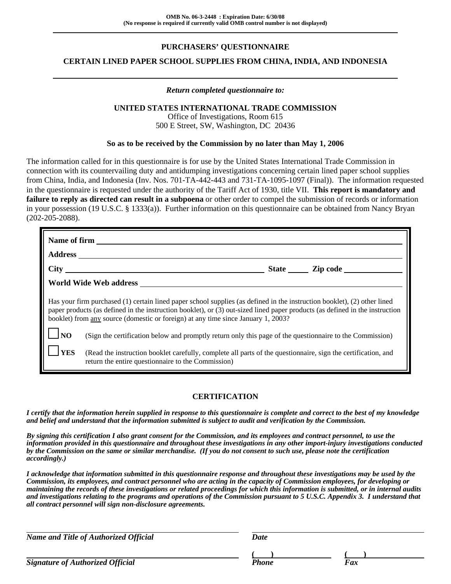# **PURCHASERS' QUESTIONNAIRE**

## **CERTAIN LINED PAPER SCHOOL SUPPLIES FROM CHINA, INDIA, AND INDONESIA**

### *Return completed questionnaire to:*

### **UNITED STATES INTERNATIONAL TRADE COMMISSION**

Office of Investigations, Room 615 500 E Street, SW, Washington, DC 20436

### **So as to be received by the Commission by no later than May 1, 2006**

The information called for in this questionnaire is for use by the United States International Trade Commission in connection with its countervailing duty and antidumping investigations concerning certain lined paper school supplies from China, India, and Indonesia (Inv. Nos. 701-TA-442-443 and 731-TA-1095-1097 (Final)). The information requested in the questionnaire is requested under the authority of the Tariff Act of 1930, title VII. **This report is mandatory and failure to reply as directed can result in a subpoena** or other order to compel the submission of records or information in your possession (19 U.S.C. § 1333(a)). Further information on this questionnaire can be obtained from Nancy Bryan (202-205-2088).

|                                                                                                                                                                                                                                                                                                                                               | Name of firm                                                                                                                                                        |  |  |
|-----------------------------------------------------------------------------------------------------------------------------------------------------------------------------------------------------------------------------------------------------------------------------------------------------------------------------------------------|---------------------------------------------------------------------------------------------------------------------------------------------------------------------|--|--|
|                                                                                                                                                                                                                                                                                                                                               |                                                                                                                                                                     |  |  |
|                                                                                                                                                                                                                                                                                                                                               |                                                                                                                                                                     |  |  |
|                                                                                                                                                                                                                                                                                                                                               | World Wide Web address                                                                                                                                              |  |  |
| Has your firm purchased (1) certain lined paper school supplies (as defined in the instruction booklet), (2) other lined<br>paper products (as defined in the instruction booklet), or (3) out-sized lined paper products (as defined in the instruction<br>booklet) from any source (domestic or foreign) at any time since January 1, 2003? |                                                                                                                                                                     |  |  |
| $\overline{\text{NO}}$                                                                                                                                                                                                                                                                                                                        | (Sign the certification below and promptly return only this page of the questionnaire to the Commission)                                                            |  |  |
| <b>YES</b>                                                                                                                                                                                                                                                                                                                                    | (Read the instruction booklet carefully, complete all parts of the questionnaire, sign the certification, and<br>return the entire questionnaire to the Commission) |  |  |

## **CERTIFICATION**

*I certify that the information herein supplied in response to this questionnaire is complete and correct to the best of my knowledge and belief and understand that the information submitted is subject to audit and verification by the Commission.*

*By signing this certification I also grant consent for the Commission, and its employees and contract personnel, to use the information provided in this questionnaire and throughout these investigations in any other import-injury investigations conducted by the Commission on the same or similar merchandise. (If you do not consent to such use, please note the certification accordingly.)*

*I acknowledge that information submitted in this questionnaire response and throughout these investigations may be used by the Commission, its employees, and contract personnel who are acting in the capacity of Commission employees, for developing or maintaining the records of these investigations or related proceedings for which this information is submitted, or in internal audits and investigations relating to the programs and operations of the Commission pursuant to 5 U.S.C. Appendix 3. I understand that all contract personnel will sign non-disclosure agreements.*

| Name and Title of Authorized Official   | Date         |     |  |
|-----------------------------------------|--------------|-----|--|
| <b>Signature of Authorized Official</b> | <b>Phone</b> | Fax |  |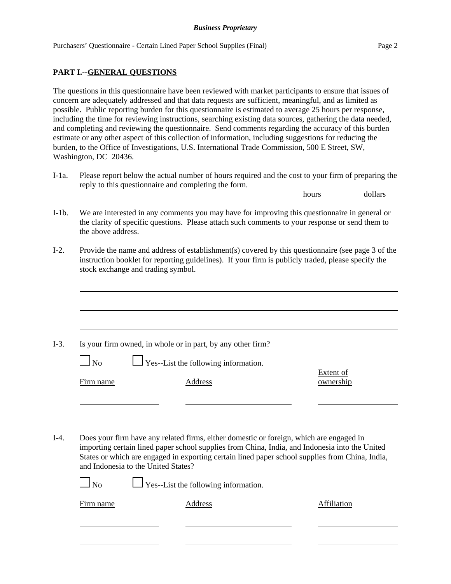## **PART I.--GENERAL QUESTIONS**

The questions in this questionnaire have been reviewed with market participants to ensure that issues of concern are adequately addressed and that data requests are sufficient, meaningful, and as limited as possible. Public reporting burden for this questionnaire is estimated to average 25 hours per response, including the time for reviewing instructions, searching existing data sources, gathering the data needed, and completing and reviewing the questionnaire. Send comments regarding the accuracy of this burden estimate or any other aspect of this collection of information, including suggestions for reducing the burden, to the Office of Investigations, U.S. International Trade Commission, 500 E Street, SW, Washington, DC 20436.

I-1a. Please report below the actual number of hours required and the cost to your firm of preparing the reply to this questionnaire and completing the form.

hours dollars

- I-1b. We are interested in any comments you may have for improving this questionnaire in general or the clarity of specific questions. Please attach such comments to your response or send them to the above address.
- I-2. Provide the name and address of establishment(s) covered by this questionnaire (see page 3 of the instruction booklet for reporting guidelines). If your firm is publicly traded, please specify the stock exchange and trading symbol.

- I-3. Is your firm owned, in whole or in part, by any other firm?
	- $\log N$  Yes--List the following information.

Extent of Firm name Address and Address ownership

I-4. Does your firm have any related firms, either domestic or foreign, which are engaged in importing certain lined paper school supplies from China, India, and Indonesia into the United States or which are engaged in exporting certain lined paper school supplies from China, India, and Indonesia to the United States?

 $\Box$  No  $\Box$  Yes--List the following information.

Firm name Address Affiliation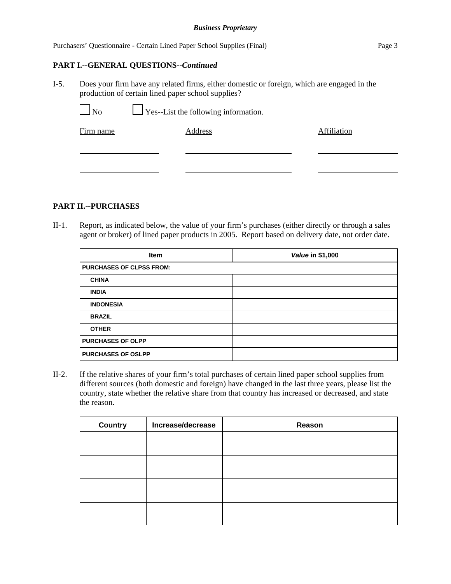## **PART I.--GENERAL QUESTIONS--***Continued*

I-5. Does your firm have any related firms, either domestic or foreign, which are engaged in the production of certain lined paper school supplies?

| $\Box$ No | $\Box$ Yes--List the following information. |             |
|-----------|---------------------------------------------|-------------|
| Firm name | Address                                     | Affiliation |
|           |                                             |             |
|           |                                             |             |

## **PART II.--PURCHASES**

II-1. Report, as indicated below, the value of your firm's purchases (either directly or through a sales agent or broker) of lined paper products in 2005. Report based on delivery date, not order date.

| <b>Item</b>                     | Value in \$1,000 |
|---------------------------------|------------------|
| <b>PURCHASES OF CLPSS FROM:</b> |                  |
| <b>CHINA</b>                    |                  |
| <b>INDIA</b>                    |                  |
| <b>INDONESIA</b>                |                  |
| <b>BRAZIL</b>                   |                  |
| <b>OTHER</b>                    |                  |
| <b>PURCHASES OF OLPP</b>        |                  |
| <b>PURCHASES OF OSLPP</b>       |                  |

II-2. If the relative shares of your firm's total purchases of certain lined paper school supplies from different sources (both domestic and foreign) have changed in the last three years, please list the country, state whether the relative share from that country has increased or decreased, and state the reason.

| <b>Country</b> | Increase/decrease | Reason |
|----------------|-------------------|--------|
|                |                   |        |
|                |                   |        |
|                |                   |        |
|                |                   |        |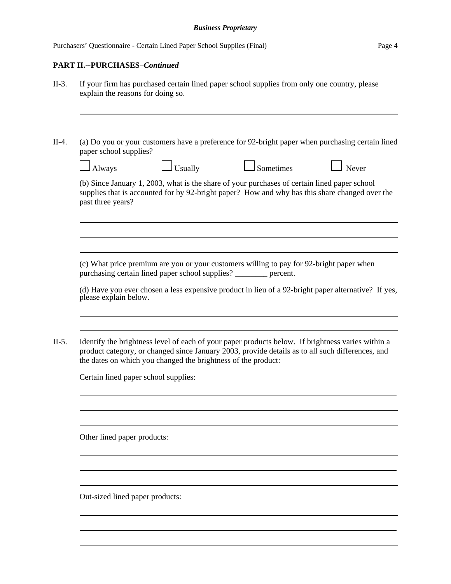$\overline{a}$ 

# **PART II.--PURCHASES**–*Continued*

| paper school supplies?      |                                                                  | (a) Do you or your customers have a preference for 92-bright paper when purchasing certain lined                                                                                                      |       |
|-----------------------------|------------------------------------------------------------------|-------------------------------------------------------------------------------------------------------------------------------------------------------------------------------------------------------|-------|
| Always                      | $\Box$ Usually                                                   | Sometimes                                                                                                                                                                                             | Never |
| past three years?           |                                                                  | (b) Since January 1, 2003, what is the share of your purchases of certain lined paper school<br>supplies that is accounted for by 92-bright paper? How and why has this share changed over the        |       |
|                             | purchasing certain lined paper school supplies? _______ percent. | (c) What price premium are you or your customers willing to pay for 92-bright paper when                                                                                                              |       |
| please explain below.       |                                                                  | (d) Have you ever chosen a less expensive product in lieu of a 92-bright paper alternative? If yes,                                                                                                   |       |
|                             | the dates on which you changed the brightness of the product:    | Identify the brightness level of each of your paper products below. If brightness varies within a<br>product category, or changed since January 2003, provide details as to all such differences, and |       |
|                             | Certain lined paper school supplies:                             |                                                                                                                                                                                                       |       |
|                             |                                                                  |                                                                                                                                                                                                       |       |
| Other lined paper products: |                                                                  |                                                                                                                                                                                                       |       |
|                             |                                                                  |                                                                                                                                                                                                       |       |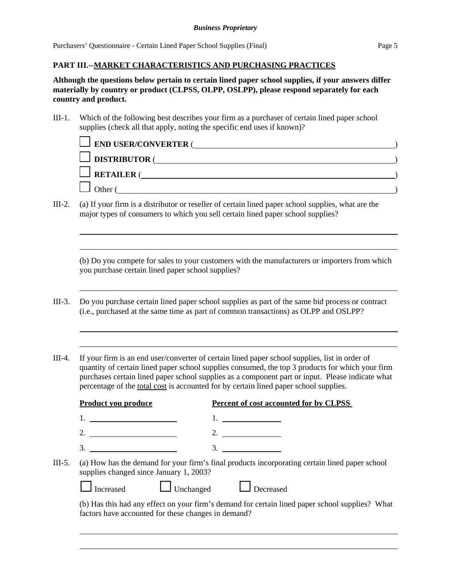## **PART III.--MARKET CHARACTERISTICS AND PURCHASING PRACTICES**

**Although the questions below pertain to certain lined paper school supplies, if your answers differ materially by country or product (CLPSS, OLPP, OSLPP), please respond separately for each country and product.**

III-1. Which of the following best describes your firm as a purchaser of certain lined paper school supplies (check all that apply, noting the specific end uses if known)?

| <b>IFIND USER/CONVERTER (</b> |  |
|-------------------------------|--|
| <b>DISTRIBUTOR</b>            |  |
| <b>RETAILER</b>               |  |
| )ther                         |  |

III-2. (a) If your firm is a distributor or reseller of certain lined paper school supplies, what are the major types of consumers to which you sell certain lined paper school supplies?

(b) Do you compete for sales to your customers with the manufacturers or importers from which you purchase certain lined paper school supplies?

- III-3. Do you purchase certain lined paper school supplies as part of the same bid process or contract (i.e., purchased at the same time as part of common transactions) as OLPP and OSLPP?
- III-4. If your firm is an end user/converter of certain lined paper school supplies, list in order of quantity of certain lined paper school supplies consumed, the top 3 products for which your firm purchases certain lined paper school supplies as a component part or input. Please indicate what percentage of the total cost is accounted for by certain lined paper school supplies.

|                                                                                                                                                     | Product you produce                                 | Percent of cost accounted for by CLPSS                                                          |
|-----------------------------------------------------------------------------------------------------------------------------------------------------|-----------------------------------------------------|-------------------------------------------------------------------------------------------------|
|                                                                                                                                                     |                                                     |                                                                                                 |
|                                                                                                                                                     | 2.                                                  | 2.                                                                                              |
|                                                                                                                                                     | 3.                                                  | 3.                                                                                              |
| III-5.<br>(a) How has the demand for your firm's final products incorporating certain lined paper school<br>supplies changed since January 1, 2003? |                                                     |                                                                                                 |
|                                                                                                                                                     | $\Box$ Unchanged<br>Increased                       | Decreased                                                                                       |
|                                                                                                                                                     | factors have accounted for these changes in demand? | (b) Has this had any effect on your firm's demand for certain lined paper school supplies? What |
|                                                                                                                                                     |                                                     |                                                                                                 |
|                                                                                                                                                     |                                                     |                                                                                                 |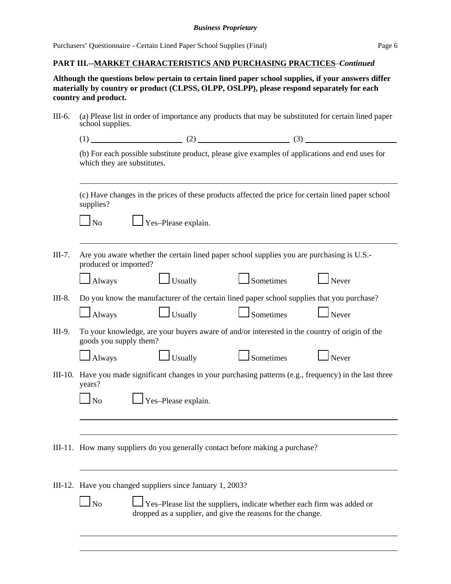## **PART III.--MARKET CHARACTERISTICS AND PURCHASING PRACTICES**–*Continued*

**Although the questions below pertain to certain lined paper school supplies, if your answers differ materially by country or product (CLPSS, OLPP, OSLPP), please respond separately for each country and product.**

| III-6.   | (a) Please list in order of importance any products that may be substituted for certain lined paper<br>school supplies.        |                                                                                                                                       |                  |                      |
|----------|--------------------------------------------------------------------------------------------------------------------------------|---------------------------------------------------------------------------------------------------------------------------------------|------------------|----------------------|
|          |                                                                                                                                |                                                                                                                                       |                  |                      |
|          | (b) For each possible substitute product, please give examples of applications and end uses for<br>which they are substitutes. |                                                                                                                                       |                  |                      |
|          | supplies?                                                                                                                      | (c) Have changes in the prices of these products affected the price for certain lined paper school                                    |                  |                      |
|          | $\Box$ No                                                                                                                      | $\Box$ Yes-Please explain.                                                                                                            |                  |                      |
| $III-7.$ | produced or imported?                                                                                                          | Are you aware whether the certain lined paper school supplies you are purchasing is U.S.-                                             |                  |                      |
|          | Always                                                                                                                         | $\vert$ Usually                                                                                                                       | Sometimes        | Never                |
| III-8.   |                                                                                                                                | Do you know the manufacturer of the certain lined paper school supplies that you purchase?                                            |                  |                      |
|          | Always                                                                                                                         | $\Box$ Usually                                                                                                                        | Sometimes        | $\Box$ Never         |
| III-9.   | goods you supply them?                                                                                                         | To your knowledge, are your buyers aware of and/or interested in the country of origin of the                                         |                  |                      |
|          | Always                                                                                                                         | Usually                                                                                                                               | $\Box$ Sometimes | $\blacksquare$ Never |
|          | years?                                                                                                                         | III-10. Have you made significant changes in your purchasing patterns (e.g., frequency) in the last three                             |                  |                      |
|          | $\Box$ No                                                                                                                      | Yes-Please explain.                                                                                                                   |                  |                      |
|          |                                                                                                                                |                                                                                                                                       |                  |                      |
|          |                                                                                                                                | III-11. How many suppliers do you generally contact before making a purchase?                                                         |                  |                      |
|          |                                                                                                                                | III-12. Have you changed suppliers since January 1, 2003?                                                                             |                  |                      |
|          | $\ln$                                                                                                                          | Yes-Please list the suppliers, indicate whether each firm was added or<br>dropped as a supplier, and give the reasons for the change. |                  |                      |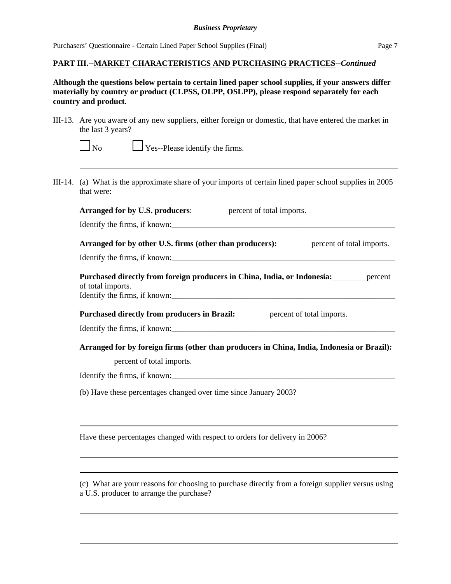## **PART III.--MARKET CHARACTERISTICS AND PURCHASING PRACTICES--***Continued*

## **Although the questions below pertain to certain lined paper school supplies, if your answers differ materially by country or product (CLPSS, OLPP, OSLPP), please respond separately for each country and product.**

III-13. Are you aware of any new suppliers, either foreign or domestic, that have entered the market in the last 3 years?

 $\Box$  Yes--Please identify the firms.

III-14. (a) What is the approximate share of your imports of certain lined paper school supplies in 2005 that were:

Arranged for by U.S. producers: percent of total imports.

Identify the firms, if known:

**Arranged for by other U.S. firms (other than producers):** percent of total imports.

Identify the firms, if known:\_\_\_\_\_\_\_\_\_\_\_\_\_\_\_\_\_\_\_\_\_\_\_\_\_\_\_\_\_\_\_\_\_\_\_\_\_\_\_\_\_\_\_\_\_\_\_\_\_\_\_\_\_\_\_

**Purchased directly from foreign producers in China, India, or Indonesia:** percent of total imports. Identify the firms, if known:\_\_\_\_\_\_\_\_\_\_\_\_\_\_\_\_\_\_\_\_\_\_\_\_\_\_\_\_\_\_\_\_\_\_\_\_\_\_\_\_\_\_\_\_\_\_\_\_\_\_\_\_\_\_\_

Purchased directly from producers in Brazil: **percent of total imports.** 

Identify the firms, if known:\_\_\_\_\_\_\_\_\_\_\_\_\_\_\_\_\_\_\_\_\_\_\_\_\_\_\_\_\_\_\_\_\_\_\_\_\_\_\_\_\_\_\_\_\_\_\_\_\_\_\_\_\_\_\_

**Arranged for by foreign firms (other than producers in China, India, Indonesia or Brazil):**

percent of total imports.

Identify the firms, if known:\_\_\_\_\_\_\_\_\_\_\_\_\_\_\_\_\_\_\_\_\_\_\_\_\_\_\_\_\_\_\_\_\_\_\_\_\_\_\_\_\_\_\_\_\_\_\_\_\_\_\_\_\_\_\_

(b) Have these percentages changed over time since January 2003?

Have these percentages changed with respect to orders for delivery in 2006?

(c) What are your reasons for choosing to purchase directly from a foreign supplier versus using a U.S. producer to arrange the purchase?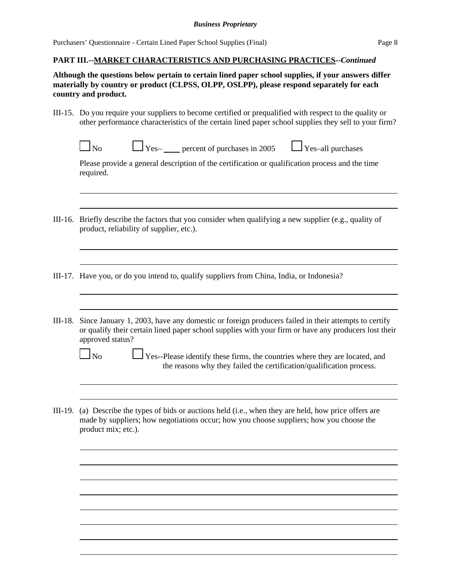Purchasers' Questionnaire - Certain Lined Paper School Supplies (Final) Page 8

### **PART III.--MARKET CHARACTERISTICS AND PURCHASING PRACTICES--***Continued*

**Although the questions below pertain to certain lined paper school supplies, if your answers differ materially by country or product (CLPSS, OLPP, OSLPP), please respond separately for each country and product.**

- III-15. Do you require your suppliers to become certified or prequalified with respect to the quality or other performance characteristics of the certain lined paper school supplies they sell to your firm?
	- $\Box$  No  $\Box$  Yes– percent of purchases in 2005  $\Box$  Yes–all purchases

Please provide a general description of the certification or qualification process and the time required.

- III-16. Briefly describe the factors that you consider when qualifying a new supplier (e.g., quality of product, reliability of supplier, etc.).
- III-17. Have you, or do you intend to, qualify suppliers from China, India, or Indonesia?
- III-18. Since January 1, 2003, have any domestic or foreign producers failed in their attempts to certify or qualify their certain lined paper school supplies with your firm or have any producers lost their approved status?

 $\Box$  No  $\Box$  Yes--Please identify these firms, the countries where they are located, and the reasons why they failed the certification/qualification process.

III-19. (a) Describe the types of bids or auctions held (i.e., when they are held, how price offers are made by suppliers; how negotiations occur; how you choose suppliers; how you choose the product mix; etc.).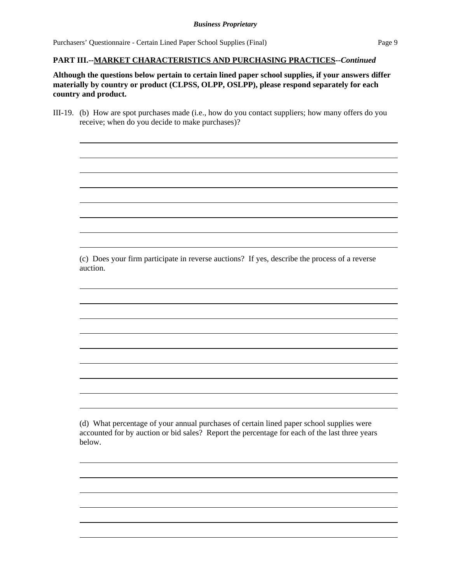Purchasers' Questionnaire - Certain Lined Paper School Supplies (Final) Page 9

### **PART III.--MARKET CHARACTERISTICS AND PURCHASING PRACTICES--***Continued*

**Although the questions below pertain to certain lined paper school supplies, if your answers differ materially by country or product (CLPSS, OLPP, OSLPP), please respond separately for each country and product.**

III-19. (b) How are spot purchases made (i.e., how do you contact suppliers; how many offers do you receive; when do you decide to make purchases)?

(c) Does your firm participate in reverse auctions? If yes, describe the process of a reverse auction.

(d) What percentage of your annual purchases of certain lined paper school supplies were accounted for by auction or bid sales? Report the percentage for each of the last three years below.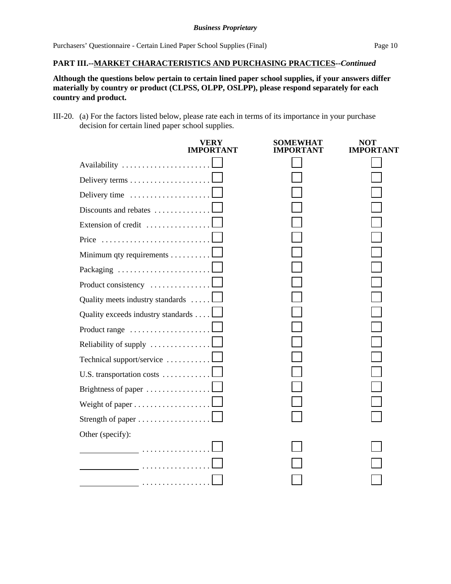## **PART III.--MARKET CHARACTERISTICS AND PURCHASING PRACTICES--***Continued*

**Although the questions below pertain to certain lined paper school supplies, if your answers differ materially by country or product (CLPSS, OLPP, OSLPP), please respond separately for each country and product.**

III-20. (a) For the factors listed below, please rate each in terms of its importance in your purchase decision for certain lined paper school supplies.

|                                    | VERY<br><b>IMPORTANT</b> | SOMEWHAT<br>IMPORTANT | <b>NOT</b><br><b>IMPORTANT</b> |
|------------------------------------|--------------------------|-----------------------|--------------------------------|
| Availability                       |                          |                       |                                |
| Delivery terms                     |                          |                       |                                |
| Delivery time                      |                          |                       |                                |
| Discounts and rebates              |                          |                       |                                |
| Extension of credit                |                          |                       |                                |
| Price                              |                          |                       |                                |
| Minimum qty requirements           |                          |                       |                                |
| Packaging                          |                          |                       |                                |
| Product consistency                |                          |                       |                                |
| Quality meets industry standards   |                          |                       |                                |
| Quality exceeds industry standards |                          |                       |                                |
| Product range                      |                          |                       |                                |
| Reliability of supply              |                          |                       |                                |
| Technical support/service          |                          |                       |                                |
| U.S. transportation costs          |                          |                       |                                |
| Brightness of paper                |                          |                       |                                |
|                                    |                          |                       |                                |
|                                    |                          |                       |                                |
| Other (specify):                   |                          |                       |                                |
|                                    |                          |                       |                                |
|                                    |                          |                       |                                |
|                                    |                          |                       |                                |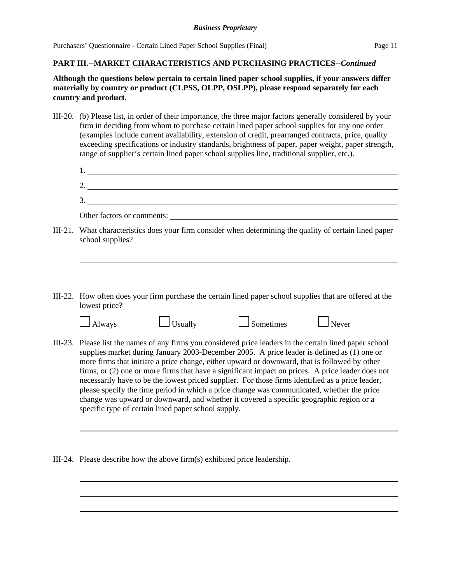## **PART III.--MARKET CHARACTERISTICS AND PURCHASING PRACTICES--***Continued*

## **Although the questions below pertain to certain lined paper school supplies, if your answers differ materially by country or product (CLPSS, OLPP, OSLPP), please respond separately for each country and product.**

III-20. (b) Please list, in order of their importance, the three major factors generally considered by your firm in deciding from whom to purchase certain lined paper school supplies for any one order (examples include current availability, extension of credit, prearranged contracts, price, quality exceeding specifications or industry standards, brightness of paper, paper weight, paper strength, range of supplier's certain lined paper school supplies line, traditional supplier, etc.).

| . .      |  |
|----------|--|
| ∼<br>٠.  |  |
| <u>.</u> |  |

Other factors or comments:

- III-21. What characteristics does your firm consider when determining the quality of certain lined paper school supplies?
- III-22. How often does your firm purchase the certain lined paper school supplies that are offered at the lowest price?

| $\Box$ Always | $\Box$ Usually | $\Box$ Sometin |
|---------------|----------------|----------------|
|               |                |                |

| nes | 1 Never |
|-----|---------|

- III-23. Please list the names of any firms you considered price leaders in the certain lined paper school supplies market during January 2003-December 2005. A price leader is defined as (1) one or more firms that initiate a price change, either upward or downward, that is followed by other firms, or (2) one or more firms that have a significant impact on prices. A price leader does not necessarily have to be the lowest priced supplier. For those firms identified as a price leader, please specify the time period in which a price change was communicated, whether the price change was upward or downward, and whether it covered a specific geographic region or a specific type of certain lined paper school supply.
- III-24. Please describe how the above firm(s) exhibited price leadership.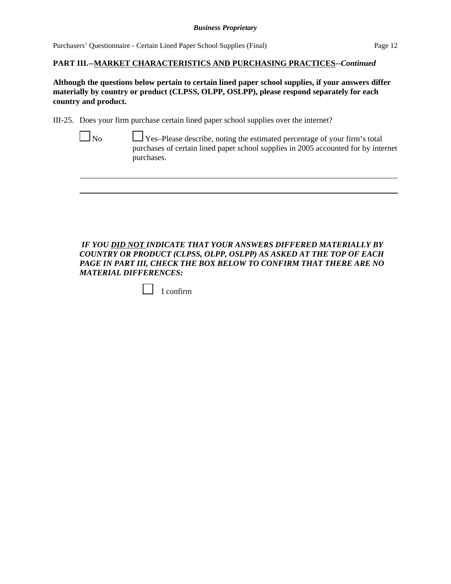## **PART III.--MARKET CHARACTERISTICS AND PURCHASING PRACTICES--***Continued*

**Although the questions below pertain to certain lined paper school supplies, if your answers differ materially by country or product (CLPSS, OLPP, OSLPP), please respond separately for each country and product.**

III-25. Does your firm purchase certain lined paper school supplies over the internet?

 $\Box$  No  $\Box$  Yes–Please describe, noting the estimated percentage of your firm's total purchases of certain lined paper school supplies in 2005 accounted for by internet purchases.

*IF YOU DID NOT INDICATE THAT YOUR ANSWERS DIFFERED MATERIALLY BY COUNTRY OR PRODUCT (CLPSS, OLPP, OSLPP) AS ASKED AT THE TOP OF EACH PAGE IN PART III, CHECK THE BOX BELOW TO CONFIRM THAT THERE ARE NO MATERIAL DIFFERENCES:* 

|  | contirm |
|--|---------|
|--|---------|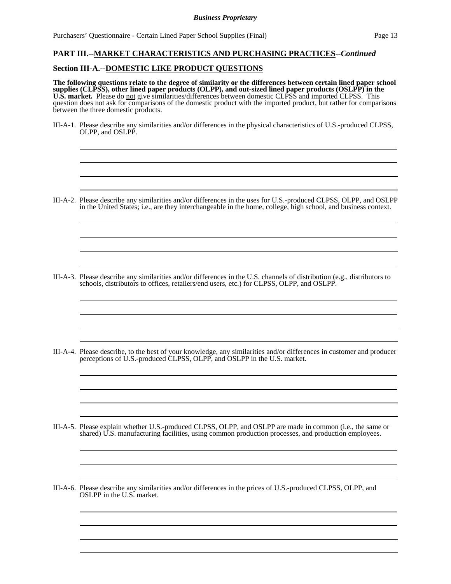#### **PART III.--MARKET CHARACTERISTICS AND PURCHASING PRACTICES--***Continued*

#### **Section III-A.--DOMESTIC LIKE PRODUCT QUESTIONS**

l

l

l

l

l

l l

l

l  $\overline{\phantom{a}}$ 

l

 $\overline{\phantom{a}}$ l

 $\overline{\phantom{a}}$ l

l

 $\overline{a}$ l

 $\overline{a}$  $\overline{\phantom{a}}$ 

**The following questions relate to the degree of similarity or the differences between certain lined paper school supplies (CLPSS), other lined paper products (OLPP), and out-sized lined paper products (OSLPP) in the U.S. market.** Please do not give similarities/differences between domestic CLPSS and imported CLPSS. This question does not ask for comparisons of the domestic product with the imported product, but rather for comparisons between the three domestic products.

III-A-1. Please describe any similarities and/or differences in the physical characteristics of U.S.-produced CLPSS, OLPP, and OSLPP.

III-A-2. Please describe any similarities and/or differences in the uses for U.S.-produced CLPSS, OLPP, and OSLPP in the United States; i.e., are they interchangeable in the home, college, high school, and business context.

III-A-3. Please describe any similarities and/or differences in the U.S. channels of distribution (e.g., distributors to schools, distributors to offices, retailers/end users, etc.) for CLPSS, OLPP, and OSLPP.

III-A-4. Please describe, to the best of your knowledge, any similarities and/or differences in customer and producer perceptions of U.S.-produced CLPSS, OLPP, and OSLPP in the U.S. market.

- III-A-5. Please explain whether U.S.-produced CLPSS, OLPP, and OSLPP are made in common (i.e., the same or shared) U.S. manufacturing facilities, using common production processes, and production employees.
- III-A-6. Please describe any similarities and/or differences in the prices of U.S.-produced CLPSS, OLPP, and OSLPP in the U.S. market.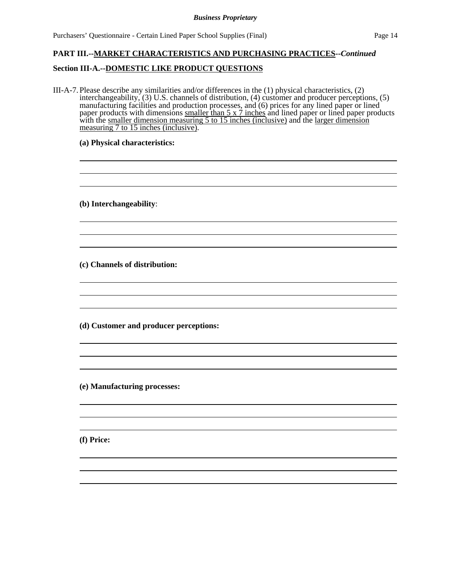Purchasers' Questionnaire - Certain Lined Paper School Supplies (Final) Page 14

 

 

 

 

 

 

## **PART III.--MARKET CHARACTERISTICS AND PURCHASING PRACTICES--***Continued*

### **Section III-A.--DOMESTIC LIKE PRODUCT QUESTIONS**

III-A-7. Please describe any similarities and/or differences in the (1) physical characteristics, (2) interchangeability, (3) U.S. channels of distribution, (4) customer and producer perceptions, (5) manufacturing facilities and production processes, and (6) prices for any lined paper or lined paper products with dimensions smaller than 5 x 7 inches and lined paper or lined paper products with the smaller dimension measuring 5 to 15 inches (inclusive) and the larger dimension measuring 7 to 15 inches (inclusive).

<u> 1980 - Johann Barn, mars ann an t-Amhain Aonaich an t-Aonaich an t-Aonaich ann an t-Aonaich ann an t-Aonaich</u>

#### **(a) Physical characteristics:**

**(b) Interchangeability**:

l

l

l

l

l

**(c) Channels of distribution:**

**(d) Customer and producer perceptions:**

**(e) Manufacturing processes:**

**(f) Price:**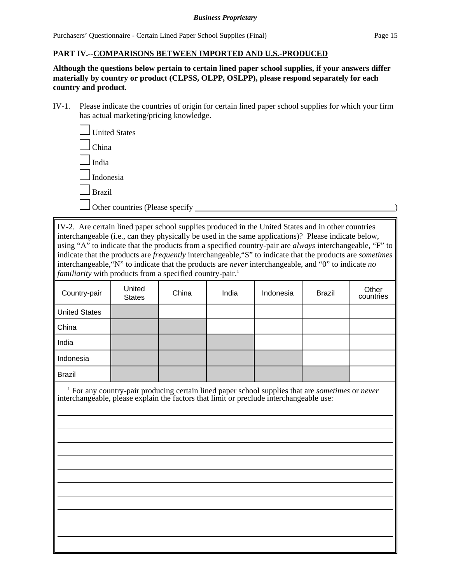### **PART IV.--COMPARISONS BETWEEN IMPORTED AND U.S.-PRODUCED**

**Although the questions below pertain to certain lined paper school supplies, if your answers differ materially by country or product (CLPSS, OLPP, OSLPP), please respond separately for each country and product.**

IV-1. Please indicate the countries of origin for certain lined paper school supplies for which your firm has actual marketing/pricing knowledge.

| United States                   |  |
|---------------------------------|--|
| $\mathsf{I}$ China              |  |
| India                           |  |
| $\Box$ Indonesia                |  |
| <b>Brazil</b>                   |  |
| Other countries (Please specify |  |

IV-2. Are certain lined paper school supplies produced in the United States and in other countries interchangeable (i.e., can they physically be used in the same applications)? Please indicate below, using "A" to indicate that the products from a specified country-pair are *always* interchangeable, "F" to indicate that the products are *frequently* interchangeable,"S" to indicate that the products are *sometimes* interchangeable,"N" to indicate that the products are *never* interchangeable, and "0" to indicate *no familiarity* with products from a specified country-pair.<sup>1</sup>

| Country-pair         | United<br><b>States</b> | China | India | Indonesia | <b>Brazil</b> | Other<br>countries |
|----------------------|-------------------------|-------|-------|-----------|---------------|--------------------|
| <b>United States</b> |                         |       |       |           |               |                    |
| China                |                         |       |       |           |               |                    |
| India                |                         |       |       |           |               |                    |
| Indonesia            |                         |       |       |           |               |                    |
| <b>Brazil</b>        |                         |       |       |           |               |                    |

 1 For any country-pair producing certain lined paper school supplies that are *sometimes* or *never* interchangeable, please explain the factors that limit or preclude interchangeable use:

>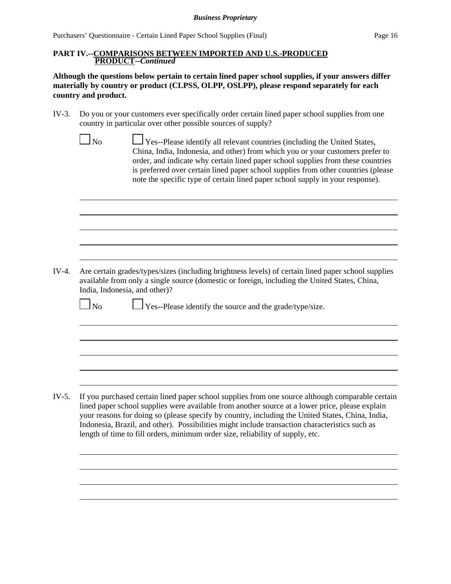Purchasers' Questionnaire - Certain Lined Paper School Supplies (Final) Page 16

#### **PART IV.--COMPARISONS BETWEEN IMPORTED AND U.S.-PRODUCED PRODUCT--***Continued*

**Although the questions below pertain to certain lined paper school supplies, if your answers differ materially by country or product (CLPSS, OLPP, OSLPP), please respond separately for each country and product.**

- IV-3. Do you or your customers ever specifically order certain lined paper school supplies from one country in particular over other possible sources of supply?
- $\Box$  No  $\Box$  Yes--Please identify all relevant countries (including the United States, China, India, Indonesia, and other) from which you or your customers prefer to order, and indicate why certain lined paper school supplies from these countries is preferred over certain lined paper school supplies from other countries (please note the specific type of certain lined paper school supply in your response). IV-4. Are certain grades/types/sizes (including brightness levels) of certain lined paper school supplies available from only a single source (domestic or foreign, including the United States, China, India, Indonesia, and other)?  $\Box$  No  $\Box$  Yes--Please identify the source and the grade/type/size. IV-5. If you purchased certain lined paper school supplies from one source although comparable certain lined paper school supplies were available from another source at a lower price, please explain your reasons for doing so (please specify by country, including the United States, China, India, Indonesia, Brazil, and other). Possibilities might include transaction characteristics such as length of time to fill orders, minimum order size, reliability of supply, etc.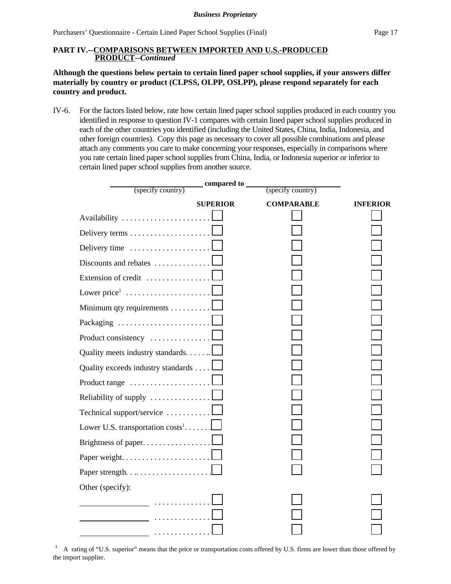### **PART IV.--COMPARISONS BETWEEN IMPORTED AND U.S.-PRODUCED PRODUCT--***Continued*

## **Although the questions below pertain to certain lined paper school supplies, if your answers differ materially by country or product (CLPSS, OLPP, OSLPP), please respond separately for each country and product.**

IV-6. For the factors listed below, rate how certain lined paper school supplies produced in each country you identified in response to question IV-1 compares with certain lined paper school supplies produced in each of the other countries you identified (including the United States, China, India, Indonesia, and other foreign countries). Copy this page as necessary to cover all possible combinations and please attach any comments you care to make concerning your responses, especially in comparisons where you rate certain lined paper school supplies from China, India, or Indonesia superior or inferior to certain lined paper school supplies from another source.

|                                                         | _compared to ___ |                   |                 |
|---------------------------------------------------------|------------------|-------------------|-----------------|
| (specify country)                                       |                  | (specify country) |                 |
|                                                         | <b>SUPERIOR</b>  | <b>COMPARABLE</b> | <b>INFERIOR</b> |
|                                                         |                  |                   |                 |
|                                                         |                  |                   |                 |
| Delivery time                                           |                  |                   |                 |
| Discounts and rebates                                   |                  |                   |                 |
| Extension of credit                                     |                  |                   |                 |
| Lower price $1, \ldots, \ldots, \ldots, \ldots, \ldots$ |                  |                   |                 |
| Minimum qty requirements                                |                  |                   |                 |
| Packaging                                               |                  |                   |                 |
| Product consistency                                     |                  |                   |                 |
| Quality meets industry standards                        |                  |                   |                 |
| Quality exceeds industry standards                      |                  |                   |                 |
| Product range $\dots \dots \dots \dots \dots \dots$     |                  |                   |                 |
| Reliability of supply $\dots \dots \dots \dots \dots$   |                  |                   |                 |
| Technical support/service                               |                  |                   |                 |
| Lower U.S. transportation $costs^1$                     |                  |                   |                 |
| Brightness of paper                                     |                  |                   |                 |
|                                                         |                  |                   |                 |
| Paper strength. $\dots \dots \dots \dots \dots \dots$   |                  |                   |                 |
| Other (specify):                                        |                  |                   |                 |
|                                                         |                  |                   |                 |
|                                                         |                  |                   |                 |
| _                                                       |                  |                   |                 |

<sup>1</sup> A rating of "U.S. superior" means that the price or transportation costs offered by U.S. firms are lower than those offered by the import supplier.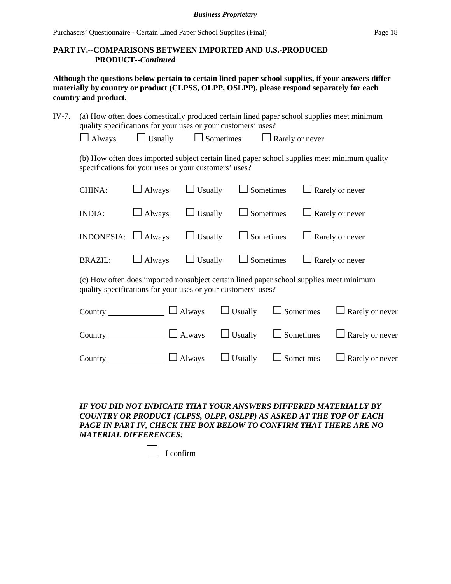Purchasers' Questionnaire - Certain Lined Paper School Supplies (Final) Page 18

## **PART IV.--COMPARISONS BETWEEN IMPORTED AND U.S.-PRODUCED PRODUCT--***Continued*

**Although the questions below pertain to certain lined paper school supplies, if your answers differ materially by country or product (CLPSS, OLPP, OSLPP), please respond separately for each country and product.**

| (a) How often does domestically produced certain lined paper school supplies meet minimum<br>IV-7.<br>quality specifications for your uses or your customers' uses? |                                                                                                                                                          |                |                  |                                    |                              |
|---------------------------------------------------------------------------------------------------------------------------------------------------------------------|----------------------------------------------------------------------------------------------------------------------------------------------------------|----------------|------------------|------------------------------------|------------------------------|
|                                                                                                                                                                     | $\Box$ Always                                                                                                                                            | $\Box$ Usually | $\Box$ Sometimes | $\Box$ Rarely or never             |                              |
| (b) How often does imported subject certain lined paper school supplies meet minimum quality<br>specifications for your uses or your customers' uses?               |                                                                                                                                                          |                |                  |                                    |                              |
|                                                                                                                                                                     | CHINA:                                                                                                                                                   | $\Box$ Always  | $\Box$ Usually   | $\Box$ Sometimes                   | Rarely or never              |
|                                                                                                                                                                     | <b>INDIA:</b>                                                                                                                                            | $\Box$ Always  | $\Box$ Usually   | $\Box$ Sometimes                   | Rarely or never              |
|                                                                                                                                                                     | <b>INDONESIA:</b>                                                                                                                                        | $\Box$ Always  | $\Box$ Usually   | $\Box$ Sometimes                   | Rarely or never              |
|                                                                                                                                                                     | <b>BRAZIL:</b>                                                                                                                                           | $\Box$ Always  | $\Box$ Usually   | $\Box$ Sometimes                   | Rarely or never              |
|                                                                                                                                                                     | (c) How often does imported nonsubject certain lined paper school supplies meet minimum<br>quality specifications for your uses or your customers' uses? |                |                  |                                    |                              |
|                                                                                                                                                                     | Country $\overline{\phantom{a}}$                                                                                                                         |                | Always           | $\Box$ Usually<br>$\Box$ Sometimes | Rarely or never              |
|                                                                                                                                                                     | Country                                                                                                                                                  |                | Always           | Usually                            | Sometimes<br>Rarely or never |

*IF YOU DID NOT INDICATE THAT YOUR ANSWERS DIFFERED MATERIALLY BY COUNTRY OR PRODUCT (CLPSS, OLPP, OSLPP) AS ASKED AT THE TOP OF EACH PAGE IN PART IV, CHECK THE BOX BELOW TO CONFIRM THAT THERE ARE NO*

Country  $\Box$  Always  $\Box$  Usually  $\Box$  Sometimes  $\Box$  Rarely or never

*MATERIAL DIFFERENCES:* 

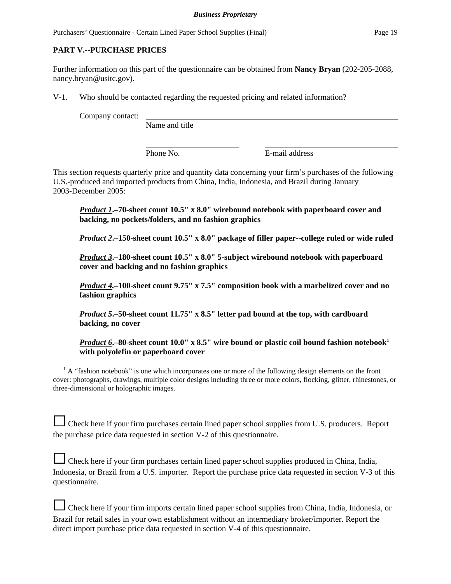## **PART V.--PURCHASE PRICES**

Further information on this part of the questionnaire can be obtained from **Nancy Bryan** (202-205-2088, nancy.bryan@usitc.gov).

V-1. Who should be contacted regarding the requested pricing and related information?

Company contact:

Name and title

Phone No. **E**-mail address

This section requests quarterly price and quantity data concerning your firm's purchases of the following U.S.-produced and imported products from China, India, Indonesia, and Brazil during January 2003-December 2005:

*Product 1***.–70-sheet count 10.5" x 8.0" wirebound notebook with paperboard cover and backing, no pockets/folders, and no fashion graphics**

*Product 2***.–150-sheet count 10.5" x 8.0" package of filler paper--college ruled or wide ruled**

*Product 3***.–180-sheet count 10.5" x 8.0" 5-subject wirebound notebook with paperboard cover and backing and no fashion graphics**

*Product 4.***–100-sheet count 9.75" x 7.5" composition book with a marbelized cover and no fashion graphics**

*Product 5***.–50-sheet count 11.75" x 8.5" letter pad bound at the top, with cardboard backing, no cover**

*Product 6*<sup>2</sup>-80-sheet count 10.0" x 8.5" wire bound or plastic coil bound fashion notebook<sup>1</sup> **with polyolefin or paperboard cover** 

 $1$  A "fashion notebook" is one which incorporates one or more of the following design elements on the front cover: photographs, drawings, multiple color designs including three or more colors, flocking, glitter, rhinestones, or three-dimensional or holographic images.

G Check here if your firm purchases certain lined paper school supplies from U.S. producers. Report the purchase price data requested in section V-2 of this questionnaire.

G Check here if your firm purchases certain lined paper school supplies produced in China, India, Indonesia, or Brazil from a U.S. importer. Report the purchase price data requested in section V-3 of this questionnaire.

| □ Check here if your firm imports certain lined paper school supplies from China, India, Indonesia, or |
|--------------------------------------------------------------------------------------------------------|
| Brazil for retail sales in your own establishment without an intermediary broker/importer. Report the  |
| direct import purchase price data requested in section V-4 of this questionnaire.                      |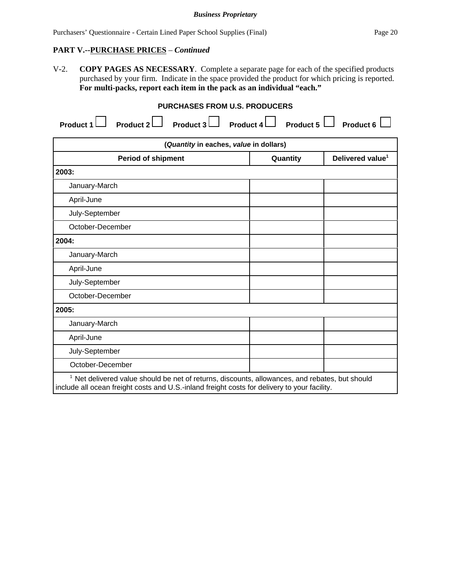Purchasers' Questionnaire - Certain Lined Paper School Supplies (Final) Page 20

### **PART V.--PURCHASE PRICES** – *Continued*

V-2. **COPY PAGES AS NECESSARY**. Complete a separate page for each of the specified products purchased by your firm. Indicate in the space provided the product for which pricing is reported. **For multi-packs, report each item in the pack as an individual "each."**

## **PURCHASES FROM U.S. PRODUCERS**

| Product $3 \Box$ Product $4 \Box$<br>Product $2 \Box$<br>Product 1                                                                                                                                        | Product 5 $\Box$ | Product 6                    |  |
|-----------------------------------------------------------------------------------------------------------------------------------------------------------------------------------------------------------|------------------|------------------------------|--|
| (Quantity in eaches, value in dollars)                                                                                                                                                                    |                  |                              |  |
| <b>Period of shipment</b>                                                                                                                                                                                 | Quantity         | Delivered value <sup>1</sup> |  |
| 2003:                                                                                                                                                                                                     |                  |                              |  |
| January-March                                                                                                                                                                                             |                  |                              |  |
| April-June                                                                                                                                                                                                |                  |                              |  |
| July-September                                                                                                                                                                                            |                  |                              |  |
| October-December                                                                                                                                                                                          |                  |                              |  |
| 2004:                                                                                                                                                                                                     |                  |                              |  |
| January-March                                                                                                                                                                                             |                  |                              |  |
| April-June                                                                                                                                                                                                |                  |                              |  |
| July-September                                                                                                                                                                                            |                  |                              |  |
| October-December                                                                                                                                                                                          |                  |                              |  |
| 2005:                                                                                                                                                                                                     |                  |                              |  |
| January-March                                                                                                                                                                                             |                  |                              |  |
| April-June                                                                                                                                                                                                |                  |                              |  |
| July-September                                                                                                                                                                                            |                  |                              |  |
| October-December                                                                                                                                                                                          |                  |                              |  |
| <sup>1</sup> Net delivered value should be net of returns, discounts, allowances, and rebates, but should<br>include all ocean freight costs and U.S.-inland freight costs for delivery to your facility. |                  |                              |  |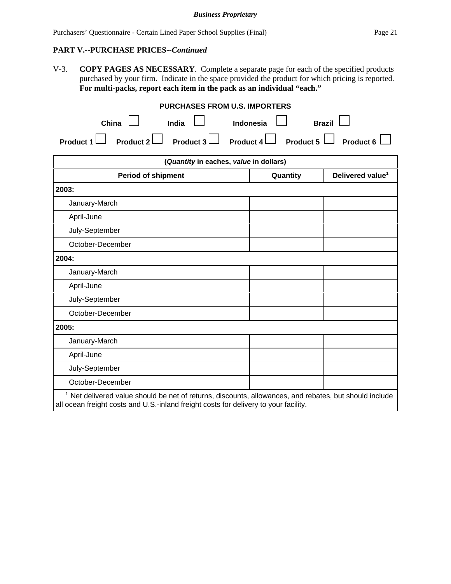# **PART V.--PURCHASE PRICES--***Continued*

V-3. **COPY PAGES AS NECESSARY**. Complete a separate page for each of the specified products purchased by your firm. Indicate in the space provided the product for which pricing is reported. **For multi-packs, report each item in the pack as an individual "each."**

| <b>PURCHASES FROM U.S. IMPORTERS</b>                                                                                                                                                                      |                                                    |                              |  |  |
|-----------------------------------------------------------------------------------------------------------------------------------------------------------------------------------------------------------|----------------------------------------------------|------------------------------|--|--|
| China<br>India                                                                                                                                                                                            | <b>Brazil</b><br>Indonesia                         |                              |  |  |
| Product $3\Box$<br>Product $2$ $\Box$<br>Product 1                                                                                                                                                        | Product 4 $\Box$ Product 5 $\Box$ Product 6 $\Box$ |                              |  |  |
| (Quantity in eaches, value in dollars)                                                                                                                                                                    |                                                    |                              |  |  |
| <b>Period of shipment</b>                                                                                                                                                                                 | Quantity                                           | Delivered value <sup>1</sup> |  |  |
| 2003:                                                                                                                                                                                                     |                                                    |                              |  |  |
| January-March                                                                                                                                                                                             |                                                    |                              |  |  |
| April-June                                                                                                                                                                                                |                                                    |                              |  |  |
| July-September                                                                                                                                                                                            |                                                    |                              |  |  |
| October-December                                                                                                                                                                                          |                                                    |                              |  |  |
| 2004:                                                                                                                                                                                                     |                                                    |                              |  |  |
| January-March                                                                                                                                                                                             |                                                    |                              |  |  |
| April-June                                                                                                                                                                                                |                                                    |                              |  |  |
| July-September                                                                                                                                                                                            |                                                    |                              |  |  |
| October-December                                                                                                                                                                                          |                                                    |                              |  |  |
| 2005:                                                                                                                                                                                                     |                                                    |                              |  |  |
| January-March                                                                                                                                                                                             |                                                    |                              |  |  |
| April-June                                                                                                                                                                                                |                                                    |                              |  |  |
| July-September                                                                                                                                                                                            |                                                    |                              |  |  |
| October-December                                                                                                                                                                                          |                                                    |                              |  |  |
| <sup>1</sup> Net delivered value should be net of returns, discounts, allowances, and rebates, but should include<br>all ocean freight costs and U.S.-inland freight costs for delivery to your facility. |                                                    |                              |  |  |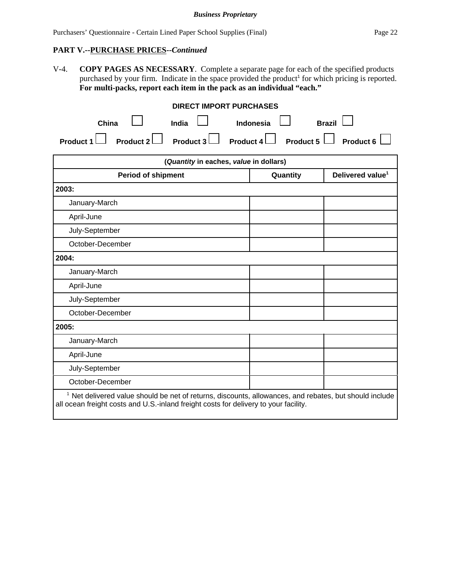# **PART V.--PURCHASE PRICES--***Continued*

V-4. **COPY PAGES AS NECESSARY**. Complete a separate page for each of the specified products purchased by your firm. Indicate in the space provided the product<sup>1</sup> for which pricing is reported. **For multi-packs, report each item in the pack as an individual "each."**

| <b>DIRECT IMPORT PURCHASES</b>                                                                                                                                                                   |                                          |  |
|--------------------------------------------------------------------------------------------------------------------------------------------------------------------------------------------------|------------------------------------------|--|
| China<br>India                                                                                                                                                                                   | <b>Brazil</b><br>Indonesia               |  |
| Product 2<br><b>Product 3</b><br><b>Product 1</b>                                                                                                                                                | Product 5<br>Product 4<br>Product 6      |  |
| (Quantity in eaches, value in dollars)                                                                                                                                                           |                                          |  |
| <b>Period of shipment</b>                                                                                                                                                                        | Delivered value <sup>1</sup><br>Quantity |  |
| 2003:                                                                                                                                                                                            |                                          |  |
| January-March                                                                                                                                                                                    |                                          |  |
| April-June                                                                                                                                                                                       |                                          |  |
| July-September                                                                                                                                                                                   |                                          |  |
| October-December                                                                                                                                                                                 |                                          |  |
| 2004:                                                                                                                                                                                            |                                          |  |
| January-March                                                                                                                                                                                    |                                          |  |
| April-June                                                                                                                                                                                       |                                          |  |
| July-September                                                                                                                                                                                   |                                          |  |
| October-December                                                                                                                                                                                 |                                          |  |
| 2005:                                                                                                                                                                                            |                                          |  |
| January-March                                                                                                                                                                                    |                                          |  |
| April-June                                                                                                                                                                                       |                                          |  |
| July-September                                                                                                                                                                                   |                                          |  |
| October-December                                                                                                                                                                                 |                                          |  |
| $1$ Net delivered value should be net of returns, discounts, allowances, and rebates, but should include<br>all ocean freight costs and U.S.-inland freight costs for delivery to your facility. |                                          |  |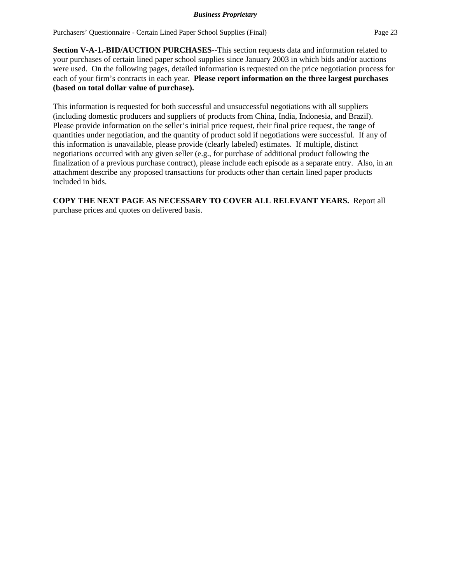**Section V-A-1.-BID/AUCTION PURCHASES**--This section requests data and information related to your purchases of certain lined paper school supplies since January 2003 in which bids and/or auctions were used. On the following pages, detailed information is requested on the price negotiation process for each of your firm's contracts in each year. **Please report information on the three largest purchases (based on total dollar value of purchase).**

This information is requested for both successful and unsuccessful negotiations with all suppliers (including domestic producers and suppliers of products from China, India, Indonesia, and Brazil). Please provide information on the seller's initial price request, their final price request, the range of quantities under negotiation, and the quantity of product sold if negotiations were successful. If any of this information is unavailable, please provide (clearly labeled) estimates. If multiple, distinct negotiations occurred with any given seller (e.g., for purchase of additional product following the finalization of a previous purchase contract), please include each episode as a separate entry. Also, in an attachment describe any proposed transactions for products other than certain lined paper products included in bids.

**COPY THE NEXT PAGE AS NECESSARY TO COVER ALL RELEVANT YEARS.** Report all purchase prices and quotes on delivered basis.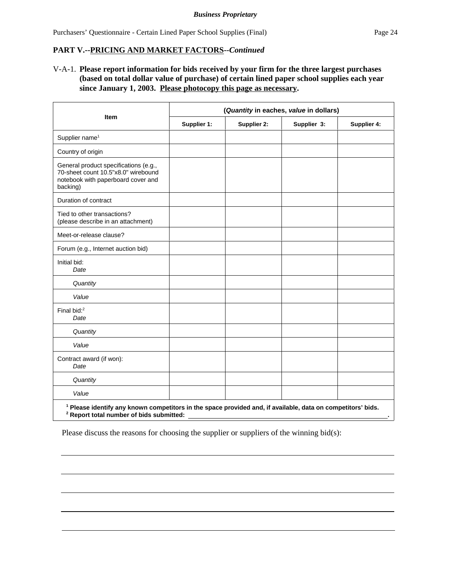### **PART V.--PRICING AND MARKET FACTORS--***Continued*

V-A-1. **Please report information for bids received by your firm for the three largest purchases (based on total dollar value of purchase) of certain lined paper school supplies each year since January 1, 2003. Please photocopy this page as necessary.** 

|                                                                                                                                                                               | (Quantity in eaches, value in dollars) |             |             |             |  |  |
|-------------------------------------------------------------------------------------------------------------------------------------------------------------------------------|----------------------------------------|-------------|-------------|-------------|--|--|
| <b>Item</b>                                                                                                                                                                   | Supplier 1:                            | Supplier 2: | Supplier 3: | Supplier 4: |  |  |
| Supplier name <sup>1</sup>                                                                                                                                                    |                                        |             |             |             |  |  |
| Country of origin                                                                                                                                                             |                                        |             |             |             |  |  |
| General product specifications (e.g.,<br>70-sheet count 10.5"x8.0" wirebound<br>notebook with paperboard cover and<br>backing)                                                |                                        |             |             |             |  |  |
| Duration of contract                                                                                                                                                          |                                        |             |             |             |  |  |
| Tied to other transactions?<br>(please describe in an attachment)                                                                                                             |                                        |             |             |             |  |  |
| Meet-or-release clause?                                                                                                                                                       |                                        |             |             |             |  |  |
| Forum (e.g., Internet auction bid)                                                                                                                                            |                                        |             |             |             |  |  |
| Initial bid:<br>Date                                                                                                                                                          |                                        |             |             |             |  |  |
| Quantity                                                                                                                                                                      |                                        |             |             |             |  |  |
| Value                                                                                                                                                                         |                                        |             |             |             |  |  |
| Final bid: <sup>2</sup><br>Date                                                                                                                                               |                                        |             |             |             |  |  |
| Quantity                                                                                                                                                                      |                                        |             |             |             |  |  |
| Value                                                                                                                                                                         |                                        |             |             |             |  |  |
| Contract award (if won):<br>Date                                                                                                                                              |                                        |             |             |             |  |  |
| Quantity                                                                                                                                                                      |                                        |             |             |             |  |  |
| Value                                                                                                                                                                         |                                        |             |             |             |  |  |
| <sup>1</sup> Please identify any known competitors in the space provided and, if available, data on competitors' bids.<br><sup>2</sup> Report total number of bids submitted: |                                        |             |             |             |  |  |

Please discuss the reasons for choosing the supplier or suppliers of the winning bid(s):

 $\overline{a}$ 

 $\overline{a}$ 

 $\overline{a}$ 

 $\overline{a}$ 

l